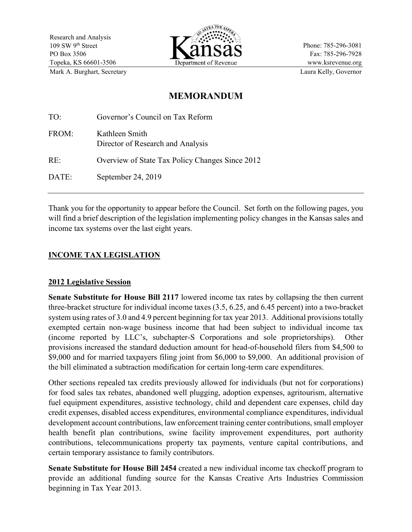

Phone: 785-296-3081 Fax: 785-296-7928 www.ksrevenue.org Mark A. Burghart, Secretary **Laura Kelly, Governor** Laura Kelly, Governor

# **MEMORANDUM**

| TO:   | Governor's Council on Tax Reform                    |
|-------|-----------------------------------------------------|
| FROM: | Kathleen Smith<br>Director of Research and Analysis |
| RE:   | Overview of State Tax Policy Changes Since 2012     |
| DATE: | September 24, 2019                                  |
|       |                                                     |

Thank you for the opportunity to appear before the Council. Set forth on the following pages, you will find a brief description of the legislation implementing policy changes in the Kansas sales and income tax systems over the last eight years.

# **INCOME TAX LEGISLATION**

#### **2012 Legislative Session**

**Senate Substitute for House Bill 2117** lowered income tax rates by collapsing the then current three-bracket structure for individual income taxes (3.5, 6.25, and 6.45 percent) into a two-bracket system using rates of 3.0 and 4.9 percent beginning for tax year 2013. Additional provisions totally exempted certain non-wage business income that had been subject to individual income tax (income reported by LLC's, subchapter-S Corporations and sole proprietorships). Other provisions increased the standard deduction amount for head-of-household filers from \$4,500 to \$9,000 and for married taxpayers filing joint from \$6,000 to \$9,000. An additional provision of the bill eliminated a subtraction modification for certain long-term care expenditures.

Other sections repealed tax credits previously allowed for individuals (but not for corporations) for food sales tax rebates, abandoned well plugging, adoption expenses, agritourism, alternative fuel equipment expenditures, assistive technology, child and dependent care expenses, child day credit expenses, disabled access expenditures, environmental compliance expenditures, individual development account contributions, law enforcement training center contributions, small employer health benefit plan contributions, swine facility improvement expenditures, port authority contributions, telecommunications property tax payments, venture capital contributions, and certain temporary assistance to family contributors.

**Senate Substitute for House Bill 2454** created a new individual income tax checkoff program to provide an additional funding source for the Kansas Creative Arts Industries Commission beginning in Tax Year 2013.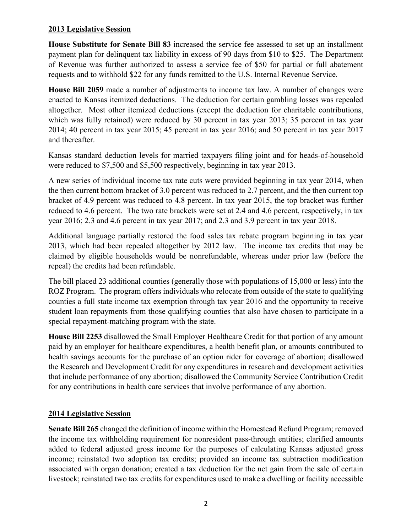### **2013 Legislative Session**

**House Substitute for Senate Bill 83** increased the service fee assessed to set up an installment payment plan for delinquent tax liability in excess of 90 days from \$10 to \$25. The Department of Revenue was further authorized to assess a service fee of \$50 for partial or full abatement requests and to withhold \$22 for any funds remitted to the U.S. Internal Revenue Service.

**House Bill 2059** made a number of adjustments to income tax law. A number of changes were enacted to Kansas itemized deductions. The deduction for certain gambling losses was repealed altogether. Most other itemized deductions (except the deduction for charitable contributions, which was fully retained) were reduced by 30 percent in tax year 2013; 35 percent in tax year 2014; 40 percent in tax year 2015; 45 percent in tax year 2016; and 50 percent in tax year 2017 and thereafter.

Kansas standard deduction levels for married taxpayers filing joint and for heads-of-household were reduced to \$7,500 and \$5,500 respectively, beginning in tax year 2013.

A new series of individual income tax rate cuts were provided beginning in tax year 2014, when the then current bottom bracket of 3.0 percent was reduced to 2.7 percent, and the then current top bracket of 4.9 percent was reduced to 4.8 percent. In tax year 2015, the top bracket was further reduced to 4.6 percent. The two rate brackets were set at 2.4 and 4.6 percent, respectively, in tax year 2016; 2.3 and 4.6 percent in tax year 2017; and 2.3 and 3.9 percent in tax year 2018.

Additional language partially restored the food sales tax rebate program beginning in tax year 2013, which had been repealed altogether by 2012 law. The income tax credits that may be claimed by eligible households would be nonrefundable, whereas under prior law (before the repeal) the credits had been refundable.

The bill placed 23 additional counties (generally those with populations of 15,000 or less) into the ROZ Program. The program offers individuals who relocate from outside of the state to qualifying counties a full state income tax exemption through tax year 2016 and the opportunity to receive student loan repayments from those qualifying counties that also have chosen to participate in a special repayment-matching program with the state.

**House Bill 2253** disallowed the Small Employer Healthcare Credit for that portion of any amount paid by an employer for healthcare expenditures, a health benefit plan, or amounts contributed to health savings accounts for the purchase of an option rider for coverage of abortion; disallowed the Research and Development Credit for any expenditures in research and development activities that include performance of any abortion; disallowed the Community Service Contribution Credit for any contributions in health care services that involve performance of any abortion.

# **2014 Legislative Session**

**Senate Bill 265** changed the definition of income within the Homestead Refund Program; removed the income tax withholding requirement for nonresident pass-through entities; clarified amounts added to federal adjusted gross income for the purposes of calculating Kansas adjusted gross income; reinstated two adoption tax credits; provided an income tax subtraction modification associated with organ donation; created a tax deduction for the net gain from the sale of certain livestock; reinstated two tax credits for expenditures used to make a dwelling or facility accessible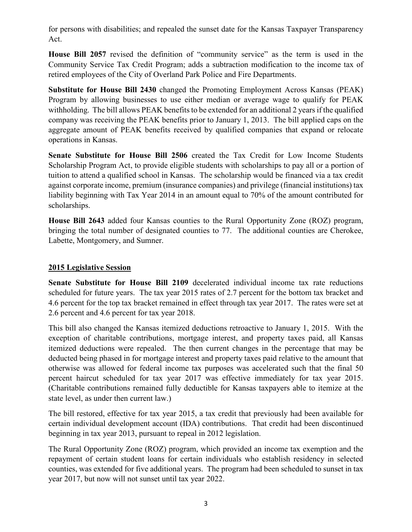for persons with disabilities; and repealed the sunset date for the Kansas Taxpayer Transparency Act.

**House Bill 2057** revised the definition of "community service" as the term is used in the Community Service Tax Credit Program; adds a subtraction modification to the income tax of retired employees of the City of Overland Park Police and Fire Departments.

**Substitute for House Bill 2430** changed the Promoting Employment Across Kansas (PEAK) Program by allowing businesses to use either median or average wage to qualify for PEAK withholding. The bill allows PEAK benefits to be extended for an additional 2 years if the qualified company was receiving the PEAK benefits prior to January 1, 2013. The bill applied caps on the aggregate amount of PEAK benefits received by qualified companies that expand or relocate operations in Kansas.

**Senate Substitute for House Bill 2506** created the Tax Credit for Low Income Students Scholarship Program Act, to provide eligible students with scholarships to pay all or a portion of tuition to attend a qualified school in Kansas. The scholarship would be financed via a tax credit against corporate income, premium (insurance companies) and privilege (financial institutions) tax liability beginning with Tax Year 2014 in an amount equal to 70% of the amount contributed for scholarships.

**House Bill 2643** added four Kansas counties to the Rural Opportunity Zone (ROZ) program, bringing the total number of designated counties to 77. The additional counties are Cherokee, Labette, Montgomery, and Sumner.

### **2015 Legislative Session**

**Senate Substitute for House Bill 2109** decelerated individual income tax rate reductions scheduled for future years. The tax year 2015 rates of 2.7 percent for the bottom tax bracket and 4.6 percent for the top tax bracket remained in effect through tax year 2017. The rates were set at 2.6 percent and 4.6 percent for tax year 2018.

This bill also changed the Kansas itemized deductions retroactive to January 1, 2015. With the exception of charitable contributions, mortgage interest, and property taxes paid, all Kansas itemized deductions were repealed. The then current changes in the percentage that may be deducted being phased in for mortgage interest and property taxes paid relative to the amount that otherwise was allowed for federal income tax purposes was accelerated such that the final 50 percent haircut scheduled for tax year 2017 was effective immediately for tax year 2015. (Charitable contributions remained fully deductible for Kansas taxpayers able to itemize at the state level, as under then current law.)

The bill restored, effective for tax year 2015, a tax credit that previously had been available for certain individual development account (IDA) contributions. That credit had been discontinued beginning in tax year 2013, pursuant to repeal in 2012 legislation.

The Rural Opportunity Zone (ROZ) program, which provided an income tax exemption and the repayment of certain student loans for certain individuals who establish residency in selected counties, was extended for five additional years. The program had been scheduled to sunset in tax year 2017, but now will not sunset until tax year 2022.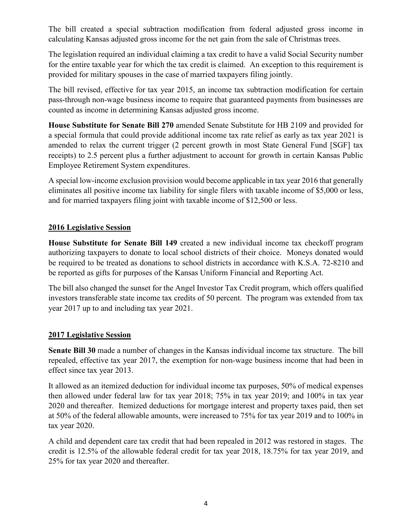The bill created a special subtraction modification from federal adjusted gross income in calculating Kansas adjusted gross income for the net gain from the sale of Christmas trees.

The legislation required an individual claiming a tax credit to have a valid Social Security number for the entire taxable year for which the tax credit is claimed. An exception to this requirement is provided for military spouses in the case of married taxpayers filing jointly.

The bill revised, effective for tax year 2015, an income tax subtraction modification for certain pass-through non-wage business income to require that guaranteed payments from businesses are counted as income in determining Kansas adjusted gross income.

**House Substitute for Senate Bill 270** amended Senate Substitute for HB 2109 and provided for a special formula that could provide additional income tax rate relief as early as tax year 2021 is amended to relax the current trigger (2 percent growth in most State General Fund [SGF] tax receipts) to 2.5 percent plus a further adjustment to account for growth in certain Kansas Public Employee Retirement System expenditures.

A special low-income exclusion provision would become applicable in tax year 2016 that generally eliminates all positive income tax liability for single filers with taxable income of \$5,000 or less, and for married taxpayers filing joint with taxable income of \$12,500 or less.

### **2016 Legislative Session**

**House Substitute for Senate Bill 149** created a new individual income tax checkoff program authorizing taxpayers to donate to local school districts of their choice. Moneys donated would be required to be treated as donations to school districts in accordance with K.S.A. 72-8210 and be reported as gifts for purposes of the Kansas Uniform Financial and Reporting Act.

The bill also changed the sunset for the Angel Investor Tax Credit program, which offers qualified investors transferable state income tax credits of 50 percent. The program was extended from tax year 2017 up to and including tax year 2021.

### **2017 Legislative Session**

**Senate Bill 30** made a number of changes in the Kansas individual income tax structure. The bill repealed, effective tax year 2017, the exemption for non-wage business income that had been in effect since tax year 2013.

It allowed as an itemized deduction for individual income tax purposes, 50% of medical expenses then allowed under federal law for tax year 2018; 75% in tax year 2019; and 100% in tax year 2020 and thereafter. Itemized deductions for mortgage interest and property taxes paid, then set at 50% of the federal allowable amounts, were increased to 75% for tax year 2019 and to 100% in tax year 2020.

A child and dependent care tax credit that had been repealed in 2012 was restored in stages. The credit is 12.5% of the allowable federal credit for tax year 2018, 18.75% for tax year 2019, and 25% for tax year 2020 and thereafter.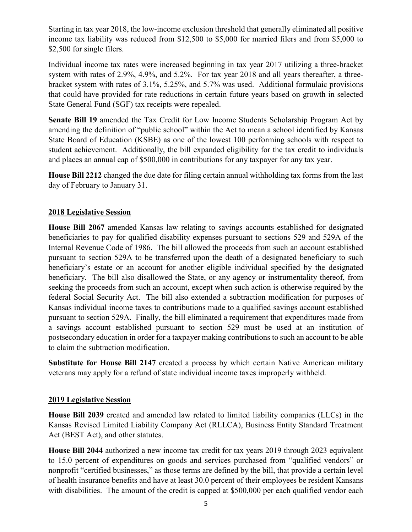Starting in tax year 2018, the low-income exclusion threshold that generally eliminated all positive income tax liability was reduced from \$12,500 to \$5,000 for married filers and from \$5,000 to \$2,500 for single filers.

Individual income tax rates were increased beginning in tax year 2017 utilizing a three-bracket system with rates of 2.9%, 4.9%, and 5.2%. For tax year 2018 and all years thereafter, a threebracket system with rates of 3.1%, 5.25%, and 5.7% was used. Additional formulaic provisions that could have provided for rate reductions in certain future years based on growth in selected State General Fund (SGF) tax receipts were repealed.

**Senate Bill 19** amended the Tax Credit for Low Income Students Scholarship Program Act by amending the definition of "public school" within the Act to mean a school identified by Kansas State Board of Education (KSBE) as one of the lowest 100 performing schools with respect to student achievement. Additionally, the bill expanded eligibility for the tax credit to individuals and places an annual cap of \$500,000 in contributions for any taxpayer for any tax year.

**House Bill 2212** changed the due date for filing certain annual withholding tax forms from the last day of February to January 31.

# **2018 Legislative Session**

**House Bill 2067** amended Kansas law relating to savings accounts established for designated beneficiaries to pay for qualified disability expenses pursuant to sections 529 and 529A of the Internal Revenue Code of 1986. The bill allowed the proceeds from such an account established pursuant to section 529A to be transferred upon the death of a designated beneficiary to such beneficiary's estate or an account for another eligible individual specified by the designated beneficiary. The bill also disallowed the State, or any agency or instrumentality thereof, from seeking the proceeds from such an account, except when such action is otherwise required by the federal Social Security Act. The bill also extended a subtraction modification for purposes of Kansas individual income taxes to contributions made to a qualified savings account established pursuant to section 529A. Finally, the bill eliminated a requirement that expenditures made from a savings account established pursuant to section 529 must be used at an institution of postsecondary education in order for a taxpayer making contributions to such an account to be able to claim the subtraction modification.

**Substitute for House Bill 2147** created a process by which certain Native American military veterans may apply for a refund of state individual income taxes improperly withheld.

### **2019 Legislative Session**

**House Bill 2039** created and amended law related to limited liability companies (LLCs) in the Kansas Revised Limited Liability Company Act (RLLCA), Business Entity Standard Treatment Act (BEST Act), and other statutes.

**House Bill 2044** authorized a new income tax credit for tax years 2019 through 2023 equivalent to 15.0 percent of expenditures on goods and services purchased from "qualified vendors" or nonprofit "certified businesses," as those terms are defined by the bill, that provide a certain level of health insurance benefits and have at least 30.0 percent of their employees be resident Kansans with disabilities. The amount of the credit is capped at \$500,000 per each qualified vendor each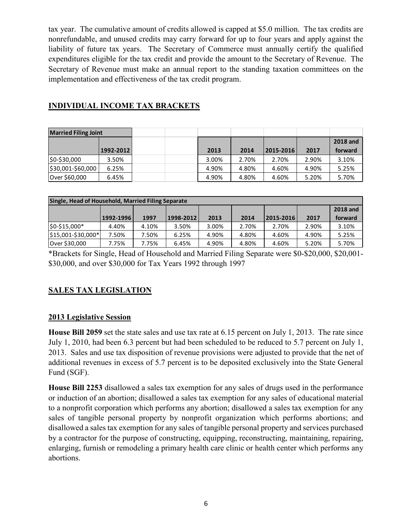tax year. The cumulative amount of credits allowed is capped at \$5.0 million. The tax credits are nonrefundable, and unused credits may carry forward for up to four years and apply against the liability of future tax years. The Secretary of Commerce must annually certify the qualified expenditures eligible for the tax credit and provide the amount to the Secretary of Revenue. The Secretary of Revenue must make an annual report to the standing taxation committees on the implementation and effectiveness of the tax credit program.

# **INDIVIDUAL INCOME TAX BRACKETS**

| <b>Married Filing Joint</b> |           |  |       |       |                 |       |                 |
|-----------------------------|-----------|--|-------|-------|-----------------|-------|-----------------|
|                             |           |  |       |       |                 |       | <b>2018 and</b> |
|                             | 1992-2012 |  | 2013  | 2014  | $ 2015 - 2016 $ | 2017  | forward         |
| \$0-\$30,000                | 3.50%     |  | 3.00% | 2.70% | 2.70%           | 2.90% | 3.10%           |
| \$30,001-\$60,000           | 6.25%     |  | 4.90% | 4.80% | 4.60%           | 4.90% | 5.25%           |
| Over \$60,000               | 6.45%     |  | 4.90% | 4.80% | 4.60%           | 5.20% | 5.70%           |

| Single, Head of Household, Married Filing Separate |           |       |           |       |       |           |       |                 |  |
|----------------------------------------------------|-----------|-------|-----------|-------|-------|-----------|-------|-----------------|--|
|                                                    |           |       |           |       |       |           |       | <b>2018 and</b> |  |
|                                                    | 1992-1996 | 1997  | 1998-2012 | 2013  | 2014  | 2015-2016 | 2017  | forward         |  |
| \$0-\$15,000*                                      | 4.40%     | 4.10% | 3.50%     | 3.00% | 2.70% | 2.70%     | 2.90% | 3.10%           |  |
| \$15,001-\$30,000*                                 | 7.50%     | 7.50% | 6.25%     | 4.90% | 4.80% | 4.60%     | 4.90% | 5.25%           |  |
| Over \$30,000                                      | 7.75%     | 7.75% | 6.45%     | 4.90% | 4.80% | 4.60%     | 5.20% | 5.70%           |  |

\*Brackets for Single, Head of Household and Married Filing Separate were \$0-\$20,000, \$20,001- \$30,000, and over \$30,000 for Tax Years 1992 through 1997

# **SALES TAX LEGISLATION**

# **2013 Legislative Session**

**House Bill 2059** set the state sales and use tax rate at 6.15 percent on July 1, 2013. The rate since July 1, 2010, had been 6.3 percent but had been scheduled to be reduced to 5.7 percent on July 1, 2013. Sales and use tax disposition of revenue provisions were adjusted to provide that the net of additional revenues in excess of 5.7 percent is to be deposited exclusively into the State General Fund (SGF).

**House Bill 2253** disallowed a sales tax exemption for any sales of drugs used in the performance or induction of an abortion; disallowed a sales tax exemption for any sales of educational material to a nonprofit corporation which performs any abortion; disallowed a sales tax exemption for any sales of tangible personal property by nonprofit organization which performs abortions; and disallowed a sales tax exemption for any sales of tangible personal property and services purchased by a contractor for the purpose of constructing, equipping, reconstructing, maintaining, repairing, enlarging, furnish or remodeling a primary health care clinic or health center which performs any abortions.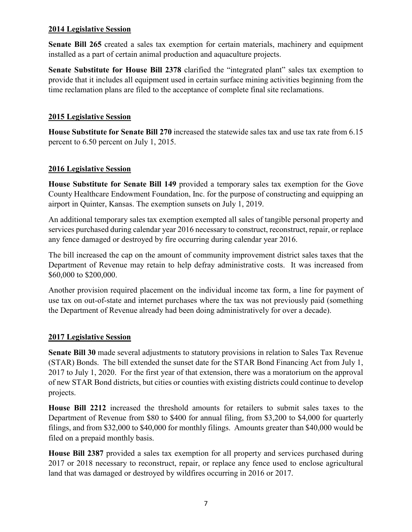#### **2014 Legislative Session**

**Senate Bill 265** created a sales tax exemption for certain materials, machinery and equipment installed as a part of certain animal production and aquaculture projects.

**Senate Substitute for House Bill 2378** clarified the "integrated plant" sales tax exemption to provide that it includes all equipment used in certain surface mining activities beginning from the time reclamation plans are filed to the acceptance of complete final site reclamations.

### **2015 Legislative Session**

**House Substitute for Senate Bill 270** increased the statewide sales tax and use tax rate from 6.15 percent to 6.50 percent on July 1, 2015.

### **2016 Legislative Session**

**House Substitute for Senate Bill 149** provided a temporary sales tax exemption for the Gove County Healthcare Endowment Foundation, Inc. for the purpose of constructing and equipping an airport in Quinter, Kansas. The exemption sunsets on July 1, 2019.

An additional temporary sales tax exemption exempted all sales of tangible personal property and services purchased during calendar year 2016 necessary to construct, reconstruct, repair, or replace any fence damaged or destroyed by fire occurring during calendar year 2016.

The bill increased the cap on the amount of community improvement district sales taxes that the Department of Revenue may retain to help defray administrative costs. It was increased from \$60,000 to \$200,000.

Another provision required placement on the individual income tax form, a line for payment of use tax on out-of-state and internet purchases where the tax was not previously paid (something the Department of Revenue already had been doing administratively for over a decade).

### **2017 Legislative Session**

**Senate Bill 30** made several adjustments to statutory provisions in relation to Sales Tax Revenue (STAR) Bonds. The bill extended the sunset date for the STAR Bond Financing Act from July 1, 2017 to July 1, 2020. For the first year of that extension, there was a moratorium on the approval of new STAR Bond districts, but cities or counties with existing districts could continue to develop projects.

**House Bill 2212** increased the threshold amounts for retailers to submit sales taxes to the Department of Revenue from \$80 to \$400 for annual filing, from \$3,200 to \$4,000 for quarterly filings, and from \$32,000 to \$40,000 for monthly filings. Amounts greater than \$40,000 would be filed on a prepaid monthly basis.

**House Bill 2387** provided a sales tax exemption for all property and services purchased during 2017 or 2018 necessary to reconstruct, repair, or replace any fence used to enclose agricultural land that was damaged or destroyed by wildfires occurring in 2016 or 2017.